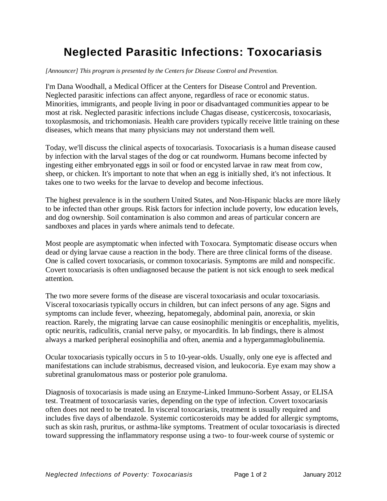## **Neglected Parasitic Infections: Toxocariasis**

## *[Announcer] This program is presented by the Centers for Disease Control and Prevention.*

I'm Dana Woodhall, a Medical Officer at the Centers for Disease Control and Prevention. Neglected parasitic infections can affect anyone, regardless of race or economic status. Minorities, immigrants, and people living in poor or disadvantaged communities appear to be most at risk. Neglected parasitic infections include Chagas disease, cysticercosis, toxocariasis, toxoplasmosis, and trichomoniasis. Health care providers typically receive little training on these diseases, which means that many physicians may not understand them well.

Today, we'll discuss the clinical aspects of toxocariasis. Toxocariasis is a human disease caused by infection with the larval stages of the dog or cat roundworm. Humans become infected by ingesting either embryonated eggs in soil or food or encysted larvae in raw meat from cow, sheep, or chicken. It's important to note that when an egg is initially shed, it's not infectious. It takes one to two weeks for the larvae to develop and become infectious.

The highest prevalence is in the southern United States, and Non-Hispanic blacks are more likely to be infected than other groups. Risk factors for infection include poverty, low education levels, and dog ownership. Soil contamination is also common and areas of particular concern are sandboxes and places in yards where animals tend to defecate.

Most people are asymptomatic when infected with Toxocara. Symptomatic disease occurs when dead or dying larvae cause a reaction in the body. There are three clinical forms of the disease. One is called covert toxocariasis, or common toxocariasis. Symptoms are mild and nonspecific. Covert toxocariasis is often undiagnosed because the patient is not sick enough to seek medical attention.

The two more severe forms of the disease are visceral toxocariasis and ocular toxocariasis. Visceral toxocariasis typically occurs in children, but can infect persons of any age. Signs and symptoms can include fever, wheezing, hepatomegaly, abdominal pain, anorexia, or skin reaction. Rarely, the migrating larvae can cause eosinophilic meningitis or encephalitis, myelitis, optic neuritis, radiculitis, cranial nerve palsy, or myocarditis. In lab findings, there is almost always a marked peripheral eosinophilia and often, anemia and a hypergammaglobulinemia.

Ocular toxocariasis typically occurs in 5 to 10-year-olds. Usually, only one eye is affected and manifestations can include strabismus, decreased vision, and leukocoria. Eye exam may show a subretinal granulomatous mass or posterior pole granuloma.

Diagnosis of toxocariasis is made using an Enzyme-Linked Immuno-Sorbent Assay, or ELISA test. Treatment of toxocariasis varies, depending on the type of infection. Covert toxocariasis often does not need to be treated. In visceral toxocariasis, treatment is usually required and includes five days of albendazole. Systemic corticosteroids may be added for allergic symptoms, such as skin rash, pruritus, or asthma-like symptoms. Treatment of ocular toxocariasis is directed toward suppressing the inflammatory response using a two- to four-week course of systemic or